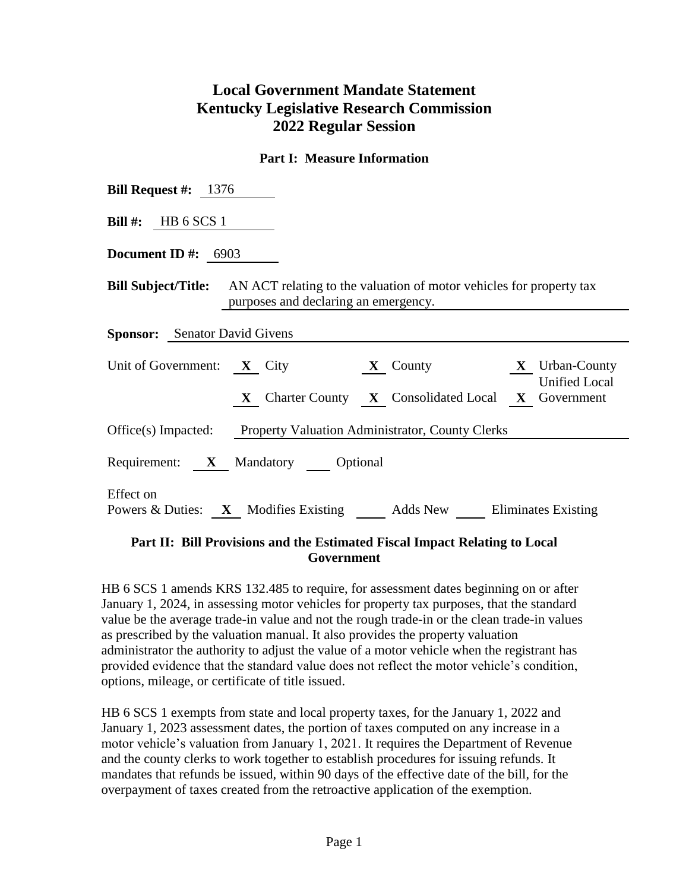## **Local Government Mandate Statement Kentucky Legislative Research Commission 2022 Regular Session**

## **Part I: Measure Information**

| <b>Bill Request #:</b> $1376$                                                                                                             |  |  |  |  |  |  |
|-------------------------------------------------------------------------------------------------------------------------------------------|--|--|--|--|--|--|
| Bill #: HB $6$ SCS 1                                                                                                                      |  |  |  |  |  |  |
| <b>Document ID</b> #: $6903$                                                                                                              |  |  |  |  |  |  |
| <b>Bill Subject/Title:</b> AN ACT relating to the valuation of motor vehicles for property tax<br>purposes and declaring an emergency.    |  |  |  |  |  |  |
| <b>Sponsor:</b> Senator David Givens                                                                                                      |  |  |  |  |  |  |
| Unit of Government: $X$ City<br>$X$ County $X$ Urban-County<br><b>Unified Local</b><br>X Charter County X Consolidated Local X Government |  |  |  |  |  |  |
| Office(s) Impacted: Property Valuation Administrator, County Clerks                                                                       |  |  |  |  |  |  |
| Requirement: X Mandatory Optional                                                                                                         |  |  |  |  |  |  |
| Effect on<br>Powers & Duties: X Modifies Existing Adds New Eliminates Existing                                                            |  |  |  |  |  |  |

## **Part II: Bill Provisions and the Estimated Fiscal Impact Relating to Local Government**

HB 6 SCS 1 amends KRS 132.485 to require, for assessment dates beginning on or after January 1, 2024, in assessing motor vehicles for property tax purposes, that the standard value be the average trade-in value and not the rough trade-in or the clean trade-in values as prescribed by the valuation manual. It also provides the property valuation administrator the authority to adjust the value of a motor vehicle when the registrant has provided evidence that the standard value does not reflect the motor vehicle's condition, options, mileage, or certificate of title issued.

HB 6 SCS 1 exempts from state and local property taxes, for the January 1, 2022 and January 1, 2023 assessment dates, the portion of taxes computed on any increase in a motor vehicle's valuation from January 1, 2021. It requires the Department of Revenue and the county clerks to work together to establish procedures for issuing refunds. It mandates that refunds be issued, within 90 days of the effective date of the bill, for the overpayment of taxes created from the retroactive application of the exemption.